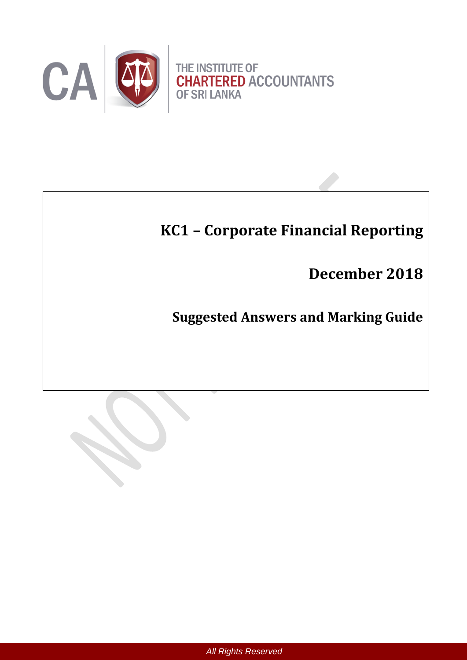

# **KC1 – Corporate Financial Reporting**

**December 2018**

**Suggested Answers and Marking Guide**

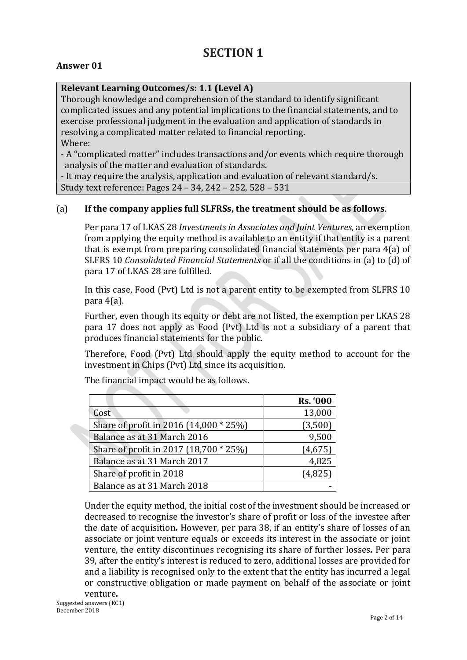# **SECTION 1**

# **Answer 01**

# **Relevant Learning Outcomes/s: 1.1 (Level A)**

Thorough knowledge and comprehension of the standard to identify significant complicated issues and any potential implications to the financial statements, and to exercise professional judgment in the evaluation and application of standards in resolving a complicated matter related to financial reporting. Where:

- A "complicated matter" includes transactions and/or events which require thorough analysis of the matter and evaluation of standards.

- It may require the analysis, application and evaluation of relevant standard/s. Study text reference: Pages 24 – 34, 242 – 252, 528 – 531

# (a) **If the company applies full SLFRSs, the treatment should be as follows**.

Per para 17 of LKAS 28 *Investments in Associates and Joint Ventures*, an exemption from applying the equity method is available to an entity if that entity is a parent that is exempt from preparing consolidated financial statements per para 4(a) of SLFRS 10 *Consolidated Financial Statements* or if all the conditions in (a) to (d) of para 17 of LKAS 28 are fulfilled.

In this case, Food (Pvt) Ltd is not a parent entity to be exempted from SLFRS 10 para 4(a).

Further, even though its equity or debt are not listed, the exemption per LKAS 28 para 17 does not apply as Food (Pvt) Ltd is not a subsidiary of a parent that produces financial statements for the public.

Therefore, Food (Pvt) Ltd should apply the equity method to account for the investment in Chips (Pvt) Ltd since its acquisition.

|                                        | <b>Rs. '000</b> |
|----------------------------------------|-----------------|
| Cost                                   | 13,000          |
| Share of profit in 2016 (14,000 * 25%) | (3,500)         |
| Balance as at 31 March 2016            | 9,500           |
| Share of profit in 2017 (18,700 * 25%) | (4, 675)        |
| Balance as at 31 March 2017            | 4,825           |
| Share of profit in 2018                | (4,825)         |
| Balance as at 31 March 2018            |                 |

The financial impact would be as follows.

Under the equity method, the initial cost of the investment should be increased or decreased to recognise the investor's share of profit or loss of the investee after the date of acquisition*.* However, per para 38, if an entity's share of losses of an associate or joint venture equals or exceeds its interest in the associate or joint venture, the entity discontinues recognising its share of further losses*.* Per para 39, after the entity's interest is reduced to zero, additional losses are provided for and a liability is recognised only to the extent that the entity has incurred a legal or constructive obligation or made payment on behalf of the associate or joint venture*.*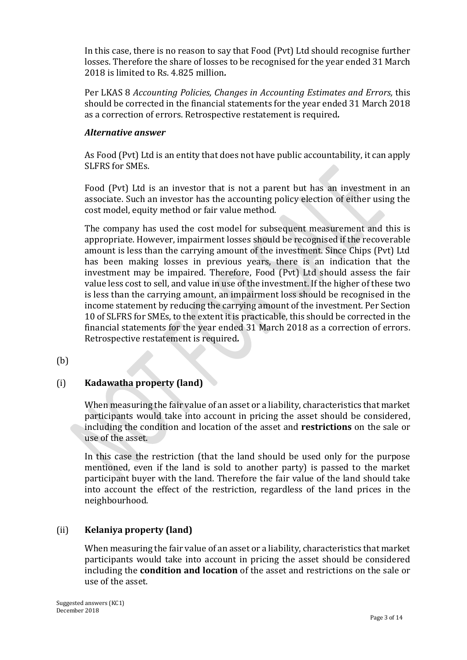In this case, there is no reason to say that Food (Pvt) Ltd should recognise further losses. Therefore the share of losses to be recognised for the year ended 31 March 2018 is limited to Rs. 4.825 million*.*

Per LKAS 8 *Accounting Policies, Changes in Accounting Estimates and Errors,* this should be corrected in the financial statements for the year ended 31 March 2018 as a correction of errors. Retrospective restatement is required*.*

# *Alternative answer*

As Food (Pvt) Ltd is an entity that does not have public accountability, it can apply SLFRS for SMEs.

Food (Pvt) Ltd is an investor that is not a parent but has an investment in an associate. Such an investor has the accounting policy election of either using the cost model, equity method or fair value method.

The company has used the cost model for subsequent measurement and this is appropriate. However, impairment losses should be recognised if the recoverable amount is less than the carrying amount of the investment. Since Chips (Pvt) Ltd has been making losses in previous years, there is an indication that the investment may be impaired. Therefore, Food (Pvt) Ltd should assess the fair value less cost to sell, and value in use of the investment. If the higher of these two is less than the carrying amount, an impairment loss should be recognised in the income statement by reducing the carrying amount of the investment. Per Section 10 of SLFRS for SMEs, to the extent it is practicable, this should be corrected in the financial statements for the year ended 31 March 2018 as a correction of errors. Retrospective restatement is required*.*

(b)

# (i) **Kadawatha property (land)**

When measuring the fair value of an asset or a liability, characteristics that market participants would take into account in pricing the asset should be considered, including the condition and location of the asset and **restrictions** on the sale or use of the asset.

In this case the restriction (that the land should be used only for the purpose mentioned, even if the land is sold to another party) is passed to the market participant buyer with the land. Therefore the fair value of the land should take into account the effect of the restriction, regardless of the land prices in the neighbourhood.

# (ii) **Kelaniya property (land)**

When measuring the fair value of an asset or a liability, characteristics that market participants would take into account in pricing the asset should be considered including the **condition and location** of the asset and restrictions on the sale or use of the asset.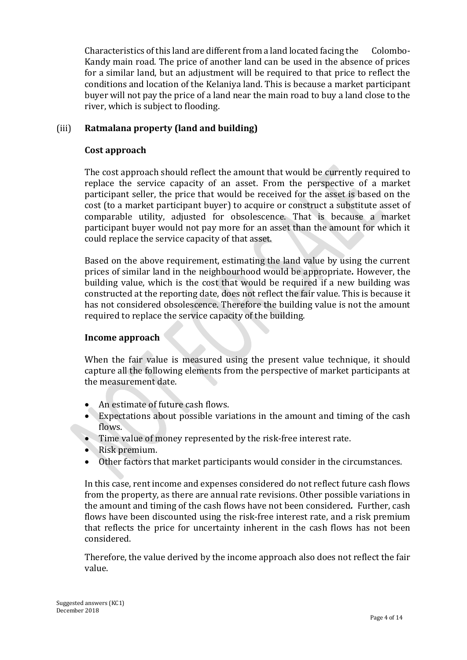Characteristics of this land are different from a land located facing the Colombo-Kandy main road. The price of another land can be used in the absence of prices for a similar land, but an adjustment will be required to that price to reflect the conditions and location of the Kelaniya land. This is because a market participant buyer will not pay the price of a land near the main road to buy a land close to the river, which is subject to flooding.

# (iii) **Ratmalana property (land and building)**

### **Cost approach**

The cost approach should reflect the amount that would be currently required to replace the service capacity of an asset. From the perspective of a market participant seller, the price that would be received for the asset is based on the cost (to a market participant buyer) to acquire or construct a substitute asset of comparable utility, adjusted for obsolescence. That is because a market participant buyer would not pay more for an asset than the amount for which it could replace the service capacity of that asset.

Based on the above requirement, estimating the land value by using the current prices of similar land in the neighbourhood would be appropriate*.* However, the building value, which is the cost that would be required if a new building was constructed at the reporting date, does not reflect the fair value. This is because it has not considered obsolescence. Therefore the building value is not the amount required to replace the service capacity of the building.

# **Income approach**

When the fair value is measured using the present value technique, it should capture all the following elements from the perspective of market participants at the measurement date.

- An estimate of future cash flows.
- Expectations about possible variations in the amount and timing of the cash flows.
- Time value of money represented by the risk-free interest rate.
- Risk premium.
- Other factors that market participants would consider in the circumstances.

In this case, rent income and expenses considered do not reflect future cash flows from the property, as there are annual rate revisions. Other possible variations in the amount and timing of the cash flows have not been considered*.* Further, cash flows have been discounted using the risk-free interest rate, and a risk premium that reflects the price for uncertainty inherent in the cash flows has not been considered.

Therefore, the value derived by the income approach also does not reflect the fair value.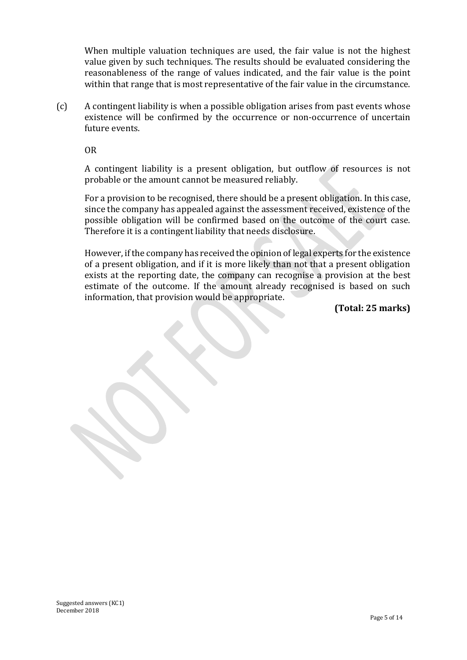When multiple valuation techniques are used, the fair value is not the highest value given by such techniques. The results should be evaluated considering the reasonableness of the range of values indicated, and the fair value is the point within that range that is most representative of the fair value in the circumstance.

(c) A contingent liability is when a possible obligation arises from past events whose existence will be confirmed by the occurrence or non-occurrence of uncertain future events.

OR

A contingent liability is a present obligation, but outflow of resources is not probable or the amount cannot be measured reliably.

For a provision to be recognised, there should be a present obligation. In this case, since the company has appealed against the assessment received, existence of the possible obligation will be confirmed based on the outcome of the court case. Therefore it is a contingent liability that needs disclosure.

However, if the company has received the opinion of legal experts for the existence of a present obligation, and if it is more likely than not that a present obligation exists at the reporting date, the company can recognise a provision at the best estimate of the outcome. If the amount already recognised is based on such information, that provision would be appropriate.

**(Total: 25 marks)**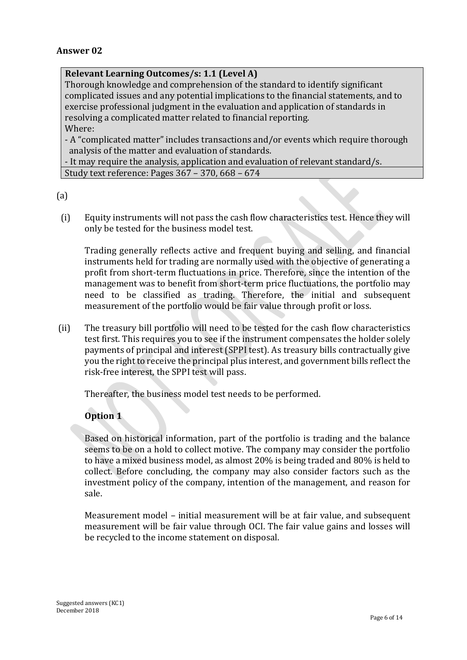### **Answer 02**

#### **Relevant Learning Outcomes/s: 1.1 (Level A)**

Thorough knowledge and comprehension of the standard to identify significant complicated issues and any potential implications to the financial statements, and to exercise professional judgment in the evaluation and application of standards in resolving a complicated matter related to financial reporting. Where:

- A "complicated matter" includes transactions and/or events which require thorough analysis of the matter and evaluation of standards.

- It may require the analysis, application and evaluation of relevant standard/s. Study text reference: Pages 367 – 370, 668 – 674

(a)

(i) Equity instruments will not pass the cash flow characteristics test. Hence they will only be tested for the business model test.

Trading generally reflects active and frequent buying and selling, and financial instruments held for trading are normally used with the objective of generating a profit from short-term fluctuations in price. Therefore, since the intention of the management was to benefit from short-term price fluctuations, the portfolio may need to be classified as trading. Therefore, the initial and subsequent measurement of the portfolio would be fair value through profit or loss.

(ii) The treasury bill portfolio will need to be tested for the cash flow characteristics test first. This requires you to see if the instrument compensates the holder solely payments of principal and interest (SPPI test). As treasury bills contractually give you the right to receive the principal plus interest, and government bills reflect the risk-free interest, the SPPI test will pass.

Thereafter, the business model test needs to be performed.

# **Option 1**

Based on historical information, part of the portfolio is trading and the balance seems to be on a hold to collect motive. The company may consider the portfolio to have a mixed business model, as almost 20% is being traded and 80% is held to collect. Before concluding, the company may also consider factors such as the investment policy of the company, intention of the management, and reason for sale.

Measurement model – initial measurement will be at fair value, and subsequent measurement will be fair value through OCI. The fair value gains and losses will be recycled to the income statement on disposal.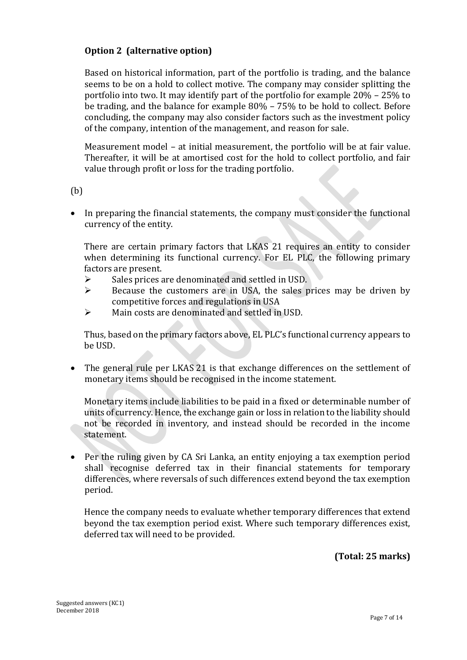# **Option 2 (alternative option)**

Based on historical information, part of the portfolio is trading, and the balance seems to be on a hold to collect motive. The company may consider splitting the portfolio into two. It may identify part of the portfolio for example 20% – 25% to be trading, and the balance for example 80% – 75% to be hold to collect. Before concluding, the company may also consider factors such as the investment policy of the company, intention of the management, and reason for sale.

Measurement model – at initial measurement, the portfolio will be at fair value. Thereafter, it will be at amortised cost for the hold to collect portfolio, and fair value through profit or loss for the trading portfolio.

(b)

 In preparing the financial statements, the company must consider the functional currency of the entity.

There are certain primary factors that LKAS 21 requires an entity to consider when determining its functional currency. For EL PLC, the following primary factors are present.

- $\triangleright$  Sales prices are denominated and settled in USD.
- $\triangleright$  Because the customers are in USA, the sales prices may be driven by competitive forces and regulations in USA
- Main costs are denominated and settled in USD.

Thus, based on the primary factors above, EL PLC's functional currency appears to be USD.

• The general rule per LKAS 21 is that exchange differences on the settlement of monetary items should be recognised in the income statement.

Monetary items include liabilities to be paid in a fixed or determinable number of units of currency. Hence, the exchange gain or loss in relation to the liability should not be recorded in inventory, and instead should be recorded in the income statement.

 Per the ruling given by CA Sri Lanka, an entity enjoying a tax exemption period shall recognise deferred tax in their financial statements for temporary differences, where reversals of such differences extend beyond the tax exemption period.

Hence the company needs to evaluate whether temporary differences that extend beyond the tax exemption period exist. Where such temporary differences exist, deferred tax will need to be provided.

**(Total: 25 marks)**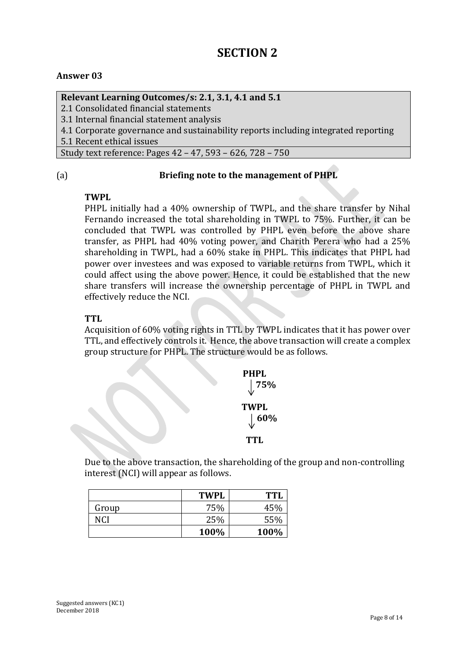# **SECTION 2**

# **Answer 03**

#### **Relevant Learning Outcomes/s: 2.1, 3.1, 4.1 and 5.1**

2.1 Consolidated financial statements

3.1 Internal financial statement analysis

4.1 Corporate governance and sustainability reports including integrated reporting

5.1 Recent ethical issues

Study text reference: Pages 42 – 47, 593 – 626, 728 – 750

#### (a) **Briefing note to the management of PHPL**

#### **TWPL**

PHPL initially had a 40% ownership of TWPL, and the share transfer by Nihal Fernando increased the total shareholding in TWPL to 75%. Further, it can be concluded that TWPL was controlled by PHPL even before the above share transfer, as PHPL had 40% voting power, and Charith Perera who had a 25% shareholding in TWPL, had a 60% stake in PHPL. This indicates that PHPL had power over investees and was exposed to variable returns from TWPL, which it could affect using the above power. Hence, it could be established that the new share transfers will increase the ownership percentage of PHPL in TWPL and effectively reduce the NCI.

# **TTL**

Acquisition of 60% voting rights in TTL by TWPL indicates that it has power over TTL, and effectively controls it. Hence, the above transaction will create a complex group structure for PHPL. The structure would be as follows.



Due to the above transaction, the shareholding of the group and non-controlling interest (NCI) will appear as follows.

|       | <b>TWPL</b> | <b>TTL</b> |
|-------|-------------|------------|
| Group | 75%         | 45%        |
| NCI   | 25%         | 55%        |
|       | 100%        | 100%       |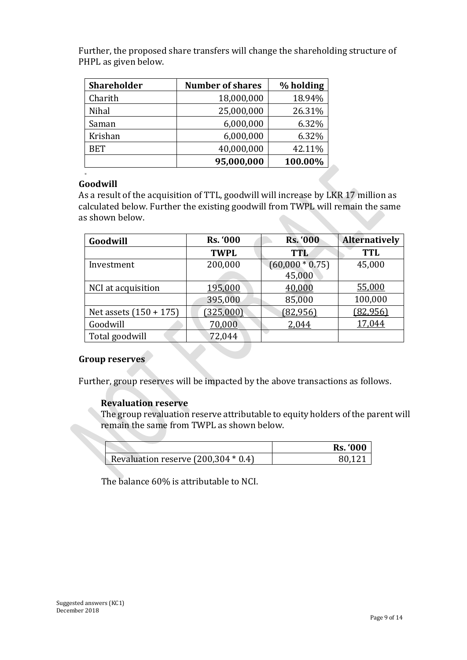| <b>Shareholder</b> | <b>Number of shares</b> | % holding |
|--------------------|-------------------------|-----------|
| Charith            | 18,000,000              | 18.94%    |
| Nihal              | 25,000,000              | 26.31%    |
| Saman              | 6,000,000               | 6.32%     |
| Krishan            | 6,000,000               | 6.32%     |
| <b>BET</b>         | 40,000,000              | 42.11%    |
|                    | 95,000,000              | 100.00%   |

Further, the proposed share transfers will change the shareholding structure of PHPL as given below.

# **Goodwill**

M

As a result of the acquisition of TTL, goodwill will increase by LKR 17 million as calculated below. Further the existing goodwill from TWPL will remain the same as shown below.

| Goodwill                 | <b>Rs. '000</b> | <b>Rs. '000</b>   | <b>Alternatively</b> |
|--------------------------|-----------------|-------------------|----------------------|
|                          | <b>TWPL</b>     | <b>TTL</b>        | <b>TTL</b>           |
| Investment               | 200,000         | $(60,000 * 0.75)$ | 45,000               |
|                          |                 | 45,000            |                      |
| NCI at acquisition       | 195,000         | 40,000            | 55,000               |
|                          | 395,000         | 85,000            | 100,000              |
| Net assets $(150 + 175)$ | (325,000)       | (82, 956)         | (82, 956)            |
| Goodwill                 | 70,000          | 2,044             | 17,044               |
| Total goodwill           | 72,044          |                   |                      |

# **Group reserves**

Further, group reserves will be impacted by the above transactions as follows.

# **Revaluation reserve**

The group revaluation reserve attributable to equity holders of the parent will remain the same from TWPL as shown below.

|                                       | <b>Rs. '000</b> |
|---------------------------------------|-----------------|
| Revaluation reserve $(200,304 * 0.4)$ | 80 121          |

The balance 60% is attributable to NCI.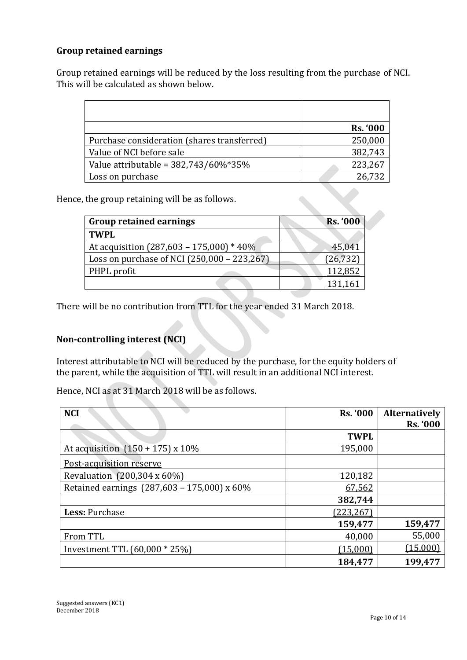# **Group retained earnings**

Group retained earnings will be reduced by the loss resulting from the purchase of NCI. This will be calculated as shown below.

|                                             | <b>Rs. '000</b> |
|---------------------------------------------|-----------------|
| Purchase consideration (shares transferred) | 250,000         |
| Value of NCI before sale                    | 382,743         |
| Value attributable = $382,743/60\%*35\%$    | 223,267         |
| Loss on purchase                            | 26,732          |

Hence, the group retaining will be as follows.

| <b>Group retained earnings</b>              | <b>Rs. '000</b> |
|---------------------------------------------|-----------------|
| <b>TWPL</b>                                 |                 |
| At acquisition (287,603 - 175,000) * 40%    | 45,041          |
| Loss on purchase of NCI (250,000 - 223,267) | (26, 732)       |
| PHPL profit                                 | 112,852         |
|                                             |                 |

There will be no contribution from TTL for the year ended 31 March 2018.

# **Non-controlling interest (NCI)**

Interest attributable to NCI will be reduced by the purchase, for the equity holders of the parent, while the acquisition of TTL will result in an additional NCI interest.

Hence, NCI as at 31 March 2018 will be as follows.

| <b>NCI</b>                                  | <b>Rs. '000</b> | <b>Alternatively</b> |
|---------------------------------------------|-----------------|----------------------|
|                                             |                 | <b>Rs. '000</b>      |
|                                             | <b>TWPL</b>     |                      |
| At acquisition $(150 + 175) \times 10\%$    | 195,000         |                      |
| Post-acquisition reserve                    |                 |                      |
| Revaluation (200,304 x 60%)                 | 120,182         |                      |
| Retained earnings (287,603 - 175,000) x 60% | 67,562          |                      |
|                                             | 382,744         |                      |
| Less: Purchase                              | (223, 267)      |                      |
|                                             | 159,477         | 159,477              |
| From TTL                                    | 40,000          | 55,000               |
| Investment TTL $(60,000 * 25%)$             | (15,000)        | (15,000)             |
|                                             | 184,477         | 199,477              |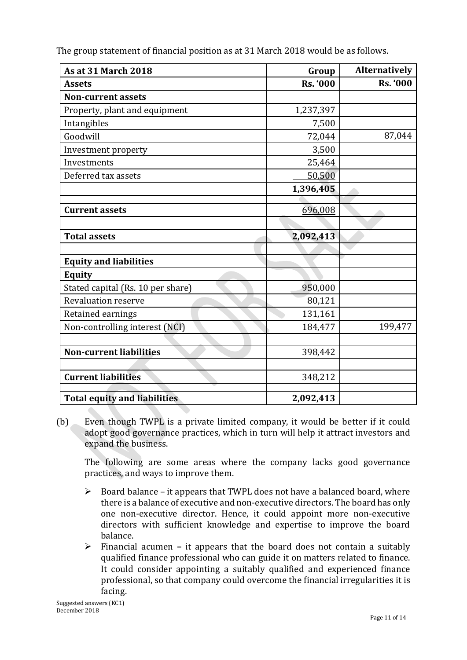The group statement of financial position as at 31 March 2018 would be as follows.

| <b>As at 31 March 2018</b>          | Group           | <b>Alternatively</b> |
|-------------------------------------|-----------------|----------------------|
| <b>Assets</b>                       | <b>Rs. '000</b> | <b>Rs. '000</b>      |
| <b>Non-current assets</b>           |                 |                      |
| Property, plant and equipment       | 1,237,397       |                      |
| Intangibles                         | 7,500           |                      |
| Goodwill                            | 72,044          | 87,044               |
| Investment property                 | 3,500           |                      |
| Investments                         | 25,464          |                      |
| Deferred tax assets                 | 50,500          |                      |
|                                     | 1,396,405       |                      |
|                                     |                 |                      |
| <b>Current assets</b>               | 696,008         |                      |
|                                     |                 |                      |
| <b>Total assets</b>                 | 2,092,413       |                      |
|                                     |                 |                      |
| <b>Equity and liabilities</b>       |                 |                      |
| <b>Equity</b>                       |                 |                      |
| Stated capital (Rs. 10 per share)   | 950,000         |                      |
| <b>Revaluation reserve</b>          | 80,121          |                      |
| Retained earnings                   | 131,161         |                      |
| Non-controlling interest (NCI)      | 184,477         | 199,477              |
|                                     |                 |                      |
| <b>Non-current liabilities</b>      | 398,442         |                      |
|                                     |                 |                      |
| <b>Current liabilities</b>          | 348,212         |                      |
|                                     |                 |                      |
| <b>Total equity and liabilities</b> | 2,092,413       |                      |

(b) Even though TWPL is a private limited company, it would be better if it could adopt good governance practices, which in turn will help it attract investors and expand the business.

The following are some areas where the company lacks good governance practices, and ways to improve them.

- $\triangleright$  Board balance it appears that TWPL does not have a balanced board, where there is a balance of executive and non-executive directors. The board has only one non-executive director. Hence, it could appoint more non-executive directors with sufficient knowledge and expertise to improve the board balance.
- Financial acumen **–** it appears that the board does not contain a suitably qualified finance professional who can guide it on matters related to finance. It could consider appointing a suitably qualified and experienced finance professional, so that company could overcome the financial irregularities it is facing.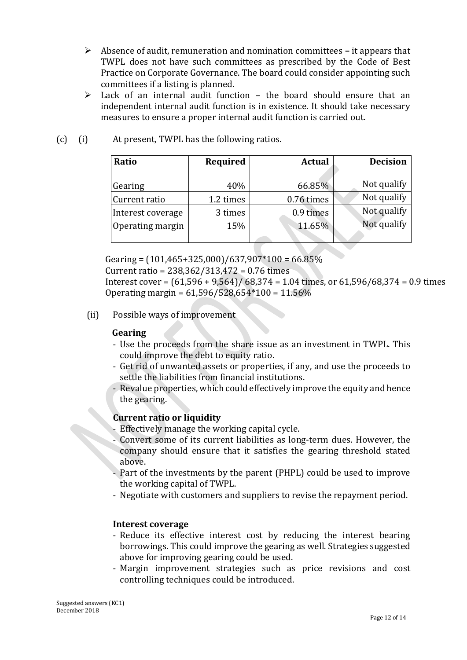- Absence of audit, remuneration and nomination committees **–** it appears that TWPL does not have such committees as prescribed by the Code of Best Practice on Corporate Governance. The board could consider appointing such committees if a listing is planned.
- $\triangleright$  Lack of an internal audit function the board should ensure that an independent internal audit function is in existence. It should take necessary measures to ensure a proper internal audit function is carried out.

| Ratio             | Required  | <b>Actual</b> | <b>Decision</b> |
|-------------------|-----------|---------------|-----------------|
| Gearing           | 40%       | 66.85%        | Not qualify     |
| Current ratio     | 1.2 times | 0.76 times    | Not qualify     |
| Interest coverage | 3 times   | 0.9 times     | Not qualify     |
| Operating margin  | 15%       | 11.65%        | Not qualify     |

# (c) (i) At present, TWPL has the following ratios.

Gearing =  $(101, 465 + 325, 000)/637, 907*100 = 66.85\%$  Current ratio = 238,362/313,472 = 0.76 times Interest cover =  $(61.596 + 9.564) / 68.374 = 1.04$  times, or  $61.596 / 68.374 = 0.9$  times Operating margin =  $61,596/528,654*100 = 11.56%$ 

#### (ii) Possible ways of improvement

#### **Gearing**

- Use the proceeds from the share issue as an investment in TWPL. This could improve the debt to equity ratio.
- Get rid of unwanted assets or properties, if any, and use the proceeds to settle the liabilities from financial institutions.
- Revalue properties, which could effectively improve the equity and hence the gearing.

#### **Current ratio or liquidity**

- Effectively manage the working capital cycle.
- Convert some of its current liabilities as long-term dues. However, the company should ensure that it satisfies the gearing threshold stated above.
- Part of the investments by the parent (PHPL) could be used to improve the working capital of TWPL.
- Negotiate with customers and suppliers to revise the repayment period.

#### **Interest coverage**

- Reduce its effective interest cost by reducing the interest bearing borrowings. This could improve the gearing as well. Strategies suggested above for improving gearing could be used.
- Margin improvement strategies such as price revisions and cost controlling techniques could be introduced.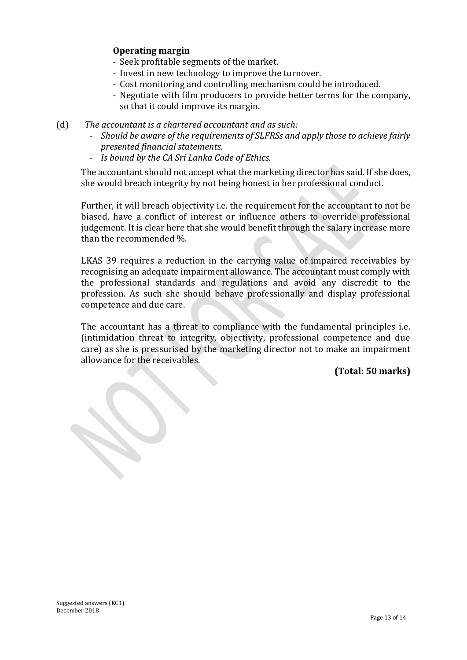# **Operating margin**

- Seek profitable segments of the market.
- Invest in new technology to improve the turnover.
- Cost monitoring and controlling mechanism could be introduced.
- Negotiate with film producers to provide better terms for the company, so that it could improve its margin.
- (d) *The accountant is a chartered accountant and as such:*
	- *Should be aware of the requirements of SLFRSs and apply those to achieve fairly presented financial statements.*
	- *Is bound by the CA Sri Lanka Code of Ethics.*

The accountant should not accept what the marketing director has said. If she does, she would breach integrity by not being honest in her professional conduct.

Further, it will breach objectivity i.e. the requirement for the accountant to not be biased, have a conflict of interest or influence others to override professional judgement. It is clear here that she would benefit through the salary increase more than the recommended %.

LKAS 39 requires a reduction in the carrying value of impaired receivables by recognising an adequate impairment allowance. The accountant must comply with the professional standards and regulations and avoid any discredit to the profession. As such she should behave professionally and display professional competence and due care.

The accountant has a threat to compliance with the fundamental principles i.e. (intimidation threat to integrity, objectivity, professional competence and due care) as she is pressurised by the marketing director not to make an impairment allowance for the receivables.

**(Total: 50 marks)**